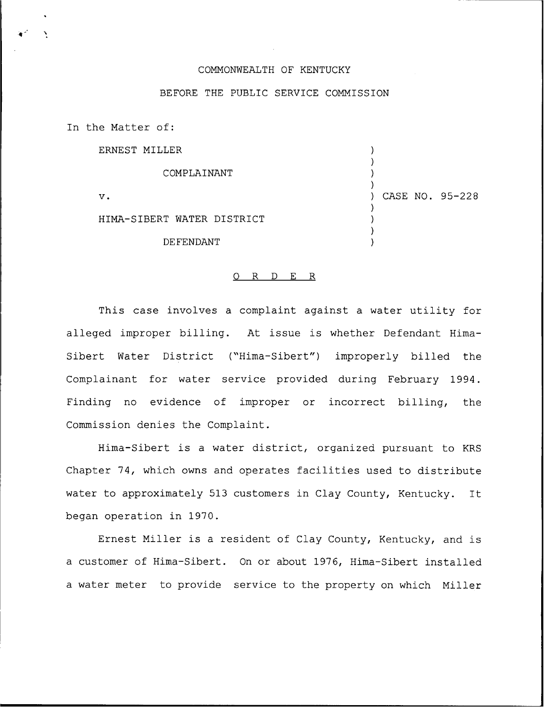## COMMONWEALTH OF KENTUCKY

## BEFORE THE PUBLIC SERVICE COMMISSION

In the Matter of: ERNEST MILLER COMPLAINANT V. HIMA-SIBERT WATER DISTRICT DE FENDANT ) ) ) ) ) CASE NO. 95-228 ) ) ) )

## 0 R <sup>D</sup> E R

This case involves a complaint against a water utility for alleged improper billing. At issue is whether Defendant Hima-Sibert Water District ("Hima-Sibert") improperly billed the Complainant for water service provided during February 1994. Finding no evidence of improper or incorrect billing, the Commission denies the Complaint.

Hima-Sibert is <sup>a</sup> water district, organized pursuant to KRS Chapter 74, which owns and operates facilities used to distribute water to approximately 513 customers in Clay County, Kentucky. It began operation in 1970.

Ernest Miller is <sup>a</sup> resident of Clay County, Kentucky, and is a customer of Hima-Sibert. On or about 1976, Hima-Sibert installed a water meter to provide service to the property on which Miller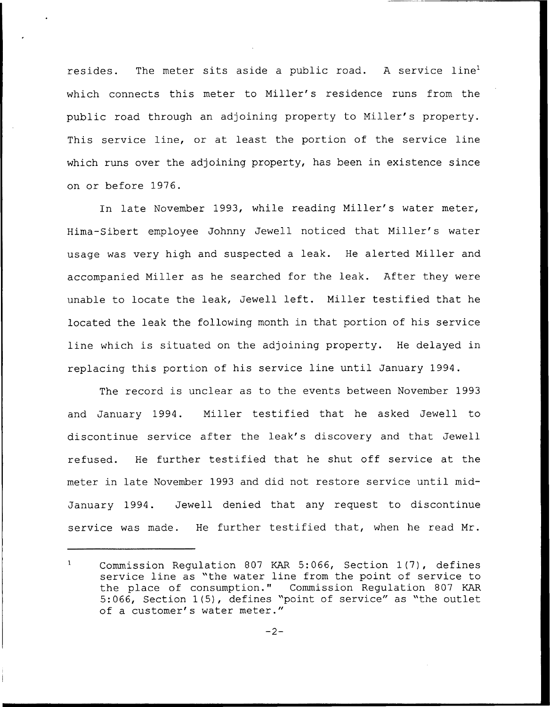resides. The meter sits aside a public road. A service line<sup>1</sup> which connects this meter to Miller's residence runs from the public road through an adjoining property to Miller's property. This service line, or at least the portion of the service line which runs over the adjoining property, has been in existence since on or before 1976.

In late November 1993, while reading Miller's water meter, Hima-Sibert employee Johnny Jewell noticed that Miller's water usage was very high and suspected a leak. He alerted Miller and accompanied Miller as he searched for the leak. After they were unable to locate the leak, Jewell left. Miller testified that he located the leak the following month in that portion of his service line which is situated on the adjoining property. He delayed in replacing this portion of his service line until January 1994.

The record is unclear as to the events between November 1993 and January 1994. Miller testified that he asked Jewell to discontinue service after the leak's discovery and that Jewell refused. He further testified that he shut off service at the meter in late November 1993 and did not restore service until mid-January 1994. Jewell denied that any request to discontinue service was made. He further testified that, when he read Mr.

 $\mathbf{1}$ Commission Regulation 807 KAR 5:066, Section 1(7), defines service line as "the water line from the point of service to the place of consumption." Commission Regulation 807 KAR 5:066, Section 1(5), defines "point of service" as "the outlet of a customer's water meter."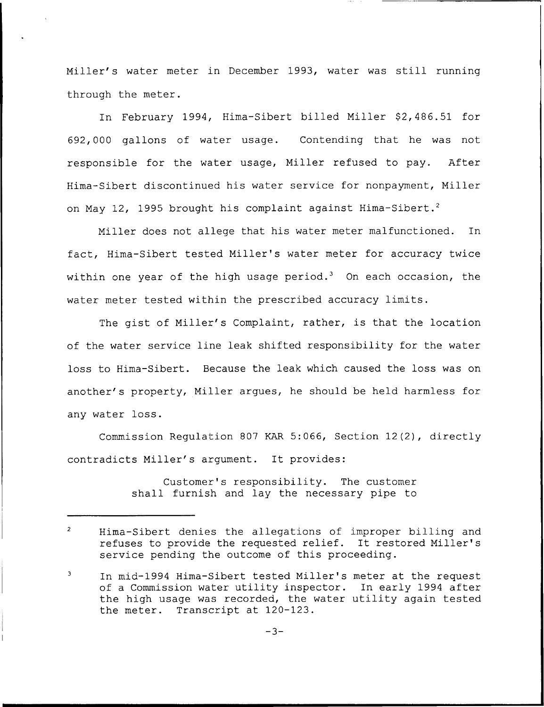Miller's water meter in December 1993, water was still running through the meter.

In February 1994, Hima-Sibert billed Miller \$2,486.51 for 692,000 gallons of water usage. Contending that he was not responsible for the water usage, Miller refused to pay. After Hima-Sibert discontinued his water service for nonpayment, Miller on May 12, 1995 brought his complaint against Hima-Sibert.<sup>2</sup>

Miller does not allege that his water meter malfunctioned. In fact, Hima-Sibert tested Miller's water meter for accuracy twice within one year of the high usage period.<sup>3</sup> On each occasion, the water meter tested within the prescribed accuracy limits.

The gist of Niller's Complaint, rather, is that the location of the water service line leak shifted responsibility for the water loss to Hima-Sibert. Because the leak which caused the loss was on another's property, Miller argues, he should be held harmless for any water loss.

Commission Regulation 807 KAR 5:066, Section 12(2), directly contradicts Miller's argument. It provides:

> Customer's responsibility. The customer shall furnish and lay the necessary pipe to

 $\overline{2}$ Hima-Sibert denies the allegations of improper billing and refuses to provide the requested relief. It restored Miller's service pending the outcome of this proceeding.

 $\overline{\mathbf{3}}$ In mid-1994 Hima-Sibert tested Miller's meter at the request of a Commission water utility inspector. In early 1994 after the high usage was recorded, the water utility again tested the meter. Transcript at 120-123.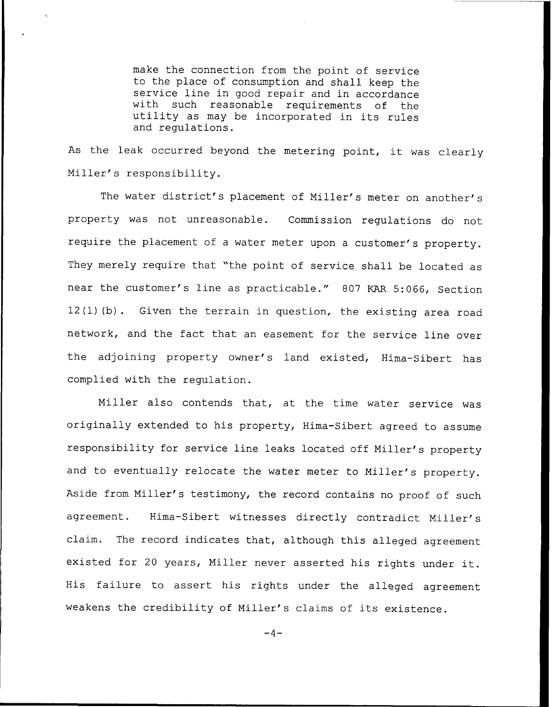make the connection from the point of service to the place of consumption and shall keep the service line in good repair and in accordance with such reasonable requirements of the utility as may be incorporated in its rules and regulations.

As the leak occurred beyond the metering point, it was clearly Miller's responsibility.

The water district's placement of Miller's meter on another's property was not unreasonable. Commission regulations do not require the placement of <sup>a</sup> water meter upon <sup>a</sup> customer's property. They merely require that "the point of service shall be located as near the customer's line as practicable." <sup>807</sup> KAR 5:066, Section 12(1) Ib). Given the terrain in question, the existing area road network, and the fact that an easement for the service line over the adjoining property owner's land existed, Hima-Sibert has complied with the regulation.

Miller also contends that, at the time water service was originally extended to his property, Hima-Sibert agreed to assume responsibility for service line leaks located off Miller's property and to eventually relocate the water meter to Miller's property. Aside from Miller's testimony, the record contains no proof of such agreement. Hima-Sibert witnesses directly contradict Miller's claim. The record indicates that, although this alleged agreement existed for <sup>20</sup> years, Miller never asserted his rights under it. His failure to assert his rights under the alleged agreement weakens the credibility of Miller's claims of its existence.

 $-4-$